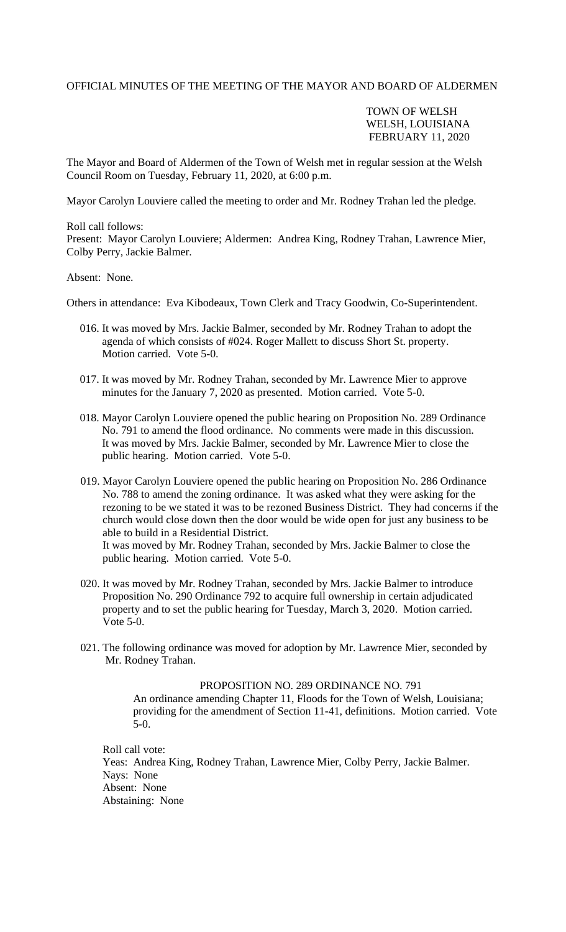## OFFICIAL MINUTES OF THE MEETING OF THE MAYOR AND BOARD OF ALDERMEN

## TOWN OF WELSH WELSH, LOUISIANA FEBRUARY 11, 2020

The Mayor and Board of Aldermen of the Town of Welsh met in regular session at the Welsh Council Room on Tuesday, February 11, 2020, at 6:00 p.m.

Mayor Carolyn Louviere called the meeting to order and Mr. Rodney Trahan led the pledge.

Roll call follows: Present: Mayor Carolyn Louviere; Aldermen: Andrea King, Rodney Trahan, Lawrence Mier, Colby Perry, Jackie Balmer.

Absent: None.

Others in attendance: Eva Kibodeaux, Town Clerk and Tracy Goodwin, Co-Superintendent.

- 016. It was moved by Mrs. Jackie Balmer, seconded by Mr. Rodney Trahan to adopt the agenda of which consists of #024. Roger Mallett to discuss Short St. property. Motion carried. Vote 5-0.
- 017. It was moved by Mr. Rodney Trahan, seconded by Mr. Lawrence Mier to approve minutes for the January 7, 2020 as presented. Motion carried. Vote 5-0.
- 018. Mayor Carolyn Louviere opened the public hearing on Proposition No. 289 Ordinance No. 791 to amend the flood ordinance. No comments were made in this discussion. It was moved by Mrs. Jackie Balmer, seconded by Mr. Lawrence Mier to close the public hearing. Motion carried. Vote 5-0.
- 019. Mayor Carolyn Louviere opened the public hearing on Proposition No. 286 Ordinance No. 788 to amend the zoning ordinance. It was asked what they were asking for the rezoning to be we stated it was to be rezoned Business District. They had concerns if the church would close down then the door would be wide open for just any business to be able to build in a Residential District.

 It was moved by Mr. Rodney Trahan, seconded by Mrs. Jackie Balmer to close the public hearing. Motion carried. Vote 5-0.

- 020. It was moved by Mr. Rodney Trahan, seconded by Mrs. Jackie Balmer to introduce Proposition No. 290 Ordinance 792 to acquire full ownership in certain adjudicated property and to set the public hearing for Tuesday, March 3, 2020. Motion carried. Vote 5-0.
- 021. The following ordinance was moved for adoption by Mr. Lawrence Mier, seconded by Mr. Rodney Trahan.

PROPOSITION NO. 289 ORDINANCE NO. 791 An ordinance amending Chapter 11, Floods for the Town of Welsh, Louisiana; providing for the amendment of Section 11-41, definitions. Motion carried. Vote 5-0.

 Roll call vote: Yeas: Andrea King, Rodney Trahan, Lawrence Mier, Colby Perry, Jackie Balmer. Nays: None Absent: None Abstaining: None